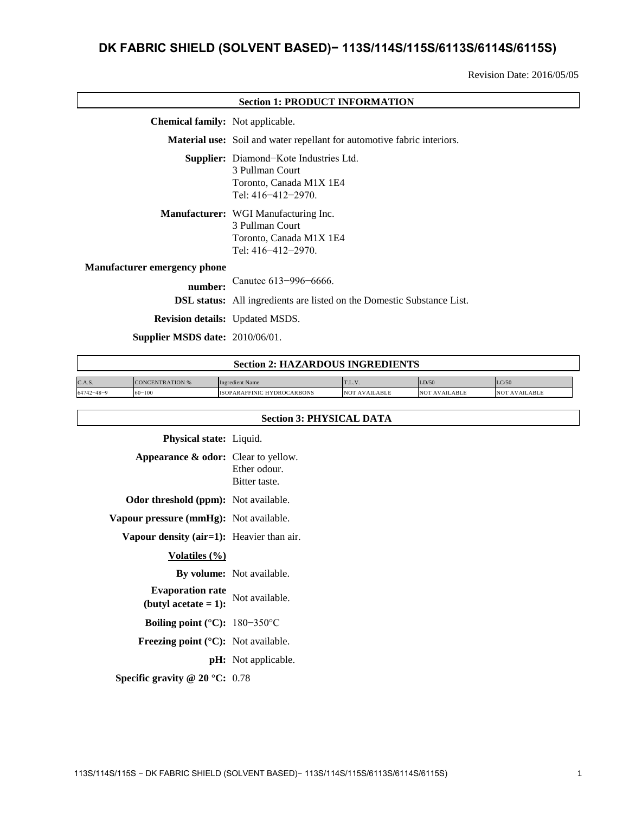# **DK FABRIC SHIELD (SOLVENT BASED)− 113S/114S/115S/6113S/6114S/6115S)**

Revision Date: 2016/05/05

| <b>Section 1: PRODUCT INFORMATION</b>   |                                                                                                                          |  |
|-----------------------------------------|--------------------------------------------------------------------------------------------------------------------------|--|
| <b>Chemical family:</b> Not applicable. |                                                                                                                          |  |
|                                         | <b>Material use:</b> Soil and water repellant for automotive fabric interiors.                                           |  |
|                                         | <b>Supplier:</b> Diamond-Kote Industries Ltd.<br>3 Pullman Court<br>Toronto, Canada M1X 1E4<br>Tel: $416 - 412 - 2970$ . |  |
|                                         | <b>Manufacturer:</b> WGI Manufacturing Inc.<br>3 Pullman Court<br>Toronto, Canada M1X 1E4<br>Tel: $416 - 412 - 2970$ .   |  |
| <b>Manufacturer emergency phone</b>     |                                                                                                                          |  |
| number:                                 | Canutec 613-996-6666.                                                                                                    |  |
|                                         | <b>DSL status:</b> All ingredients are listed on the Domestic Substance List.                                            |  |
| <b>Revision details:</b> Updated MSDS.  |                                                                                                                          |  |
| Supplier MSDS date: 2010/06/01.         |                                                                                                                          |  |
|                                         | <b>Section 2: HAZARDOUS INGREDIENTS</b>                                                                                  |  |

| C.A.S.           | <b>CONCENTRATION %</b> | Ingredient Name                   | 1.1.4.                         | LD/50                          | LC/50                    |
|------------------|------------------------|-----------------------------------|--------------------------------|--------------------------------|--------------------------|
| $64742 - 48 - 9$ | $60 - 100$             | <b>ISOPARAFFINIC HYDROCARBONS</b> | <b>AVAILABLE</b><br><b>NOT</b> | <b>AVAILABLE</b><br><b>NOT</b> | `AVAILABLE<br><b>NOT</b> |

| <b>Section 3: PHYSICAL DATA</b> |  |  |
|---------------------------------|--|--|
|---------------------------------|--|--|

| <b>Physical state:</b> Liquid.                         |                                  |
|--------------------------------------------------------|----------------------------------|
| Appearance $\&$ odor: Clear to yellow.                 | Ether odour.<br>Bitter taste.    |
| <b>Odor threshold (ppm):</b> Not available.            |                                  |
| <b>Vapour pressure (mmHg):</b> Not available.          |                                  |
| Vapour density $(air=1)$ : Heavier than air.           |                                  |
| Volatiles $(\% )$                                      |                                  |
|                                                        | <b>By volume:</b> Not available. |
| <b>Evaporation rate</b><br>(butyl acetate $= 1$ ):     | Not available.                   |
| Boiling point ( $°C$ ): 180-350 $°C$                   |                                  |
| <b>Freezing point</b> $({}^{\circ}C)$ : Not available. |                                  |
|                                                        | <b>pH:</b> Not applicable.       |
| <b>Specific gravity @ 20 °C:</b> 0.78                  |                                  |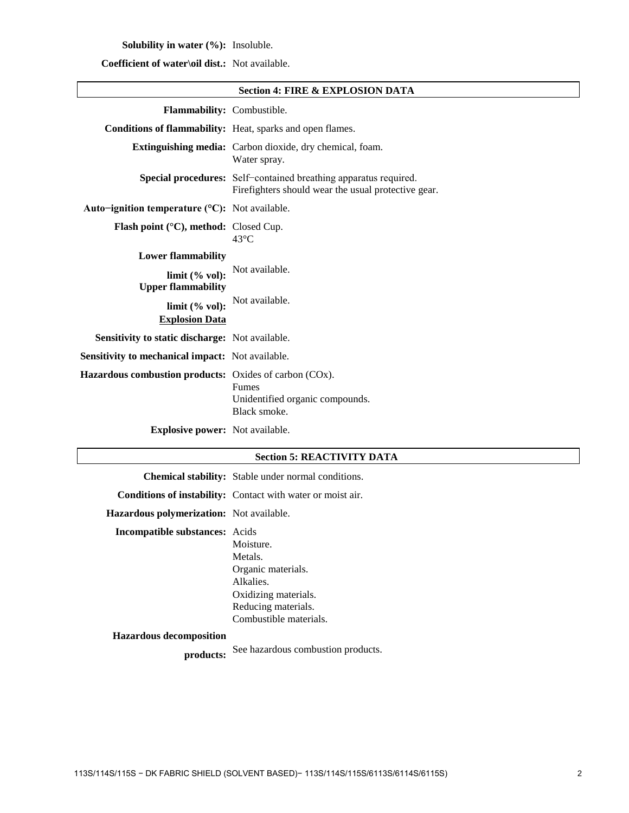# **Solubility in water (%):** Insoluble.

# **Coefficient of water\oil dist.:** Not available.

|                                                               | <b>Section 4: FIRE &amp; EXPLOSION DATA</b>                                                                             |
|---------------------------------------------------------------|-------------------------------------------------------------------------------------------------------------------------|
| Flammability: Combustible.                                    |                                                                                                                         |
|                                                               | Conditions of flammability: Heat, sparks and open flames.                                                               |
|                                                               | <b>Extinguishing media:</b> Carbon dioxide, dry chemical, foam.<br>Water spray.                                         |
|                                                               | Special procedures: Self-contained breathing apparatus required.<br>Firefighters should wear the usual protective gear. |
| Auto-ignition temperature (°C): Not available.                |                                                                                                                         |
| Flash point (°C), method: Closed Cup.                         | $43^{\circ}$ C                                                                                                          |
| <b>Lower flammability</b>                                     |                                                                                                                         |
| limit (% vol):<br><b>Upper flammability</b>                   | Not available.                                                                                                          |
| limit (% vol):<br><b>Explosion Data</b>                       | Not available.                                                                                                          |
| Sensitivity to static discharge: Not available.               |                                                                                                                         |
| <b>Sensitivity to mechanical impact:</b> Not available.       |                                                                                                                         |
| <b>Hazardous combustion products:</b> Oxides of carbon (COx). | <b>Fumes</b><br>Unidentified organic compounds.<br>Black smoke.                                                         |
| <b>Explosive power:</b> Not available.                        |                                                                                                                         |

# **Section 5: REACTIVITY DATA**

|                                                 | <b>Chemical stability:</b> Stable under normal conditions.                                                                       |
|-------------------------------------------------|----------------------------------------------------------------------------------------------------------------------------------|
|                                                 | <b>Conditions of instability:</b> Contact with water or moist air.                                                               |
| <b>Hazardous polymerization:</b> Not available. |                                                                                                                                  |
| <b>Incompatible substances:</b> Acids           | Moisture.<br>Metals.<br>Organic materials.<br>Alkalies.<br>Oxidizing materials.<br>Reducing materials.<br>Combustible materials. |

#### **Hazardous decomposition**

**products:** See hazardous combustion products.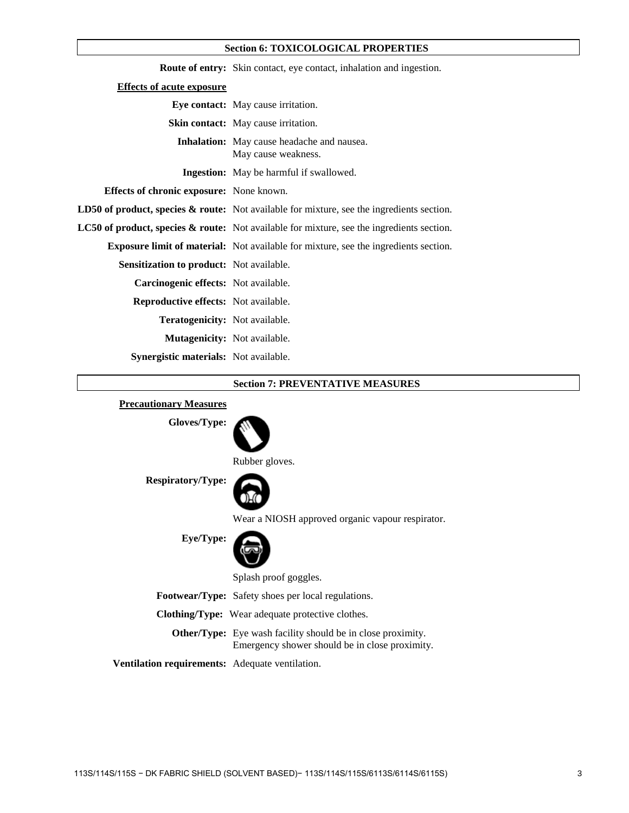#### **Section 6: TOXICOLOGICAL PROPERTIES**

|                                                 | <b>Route of entry:</b> Skin contact, eye contact, inhalation and ingestion.                          |
|-------------------------------------------------|------------------------------------------------------------------------------------------------------|
| <b>Effects of acute exposure</b>                |                                                                                                      |
|                                                 | <b>Eye contact:</b> May cause irritation.                                                            |
|                                                 | <b>Skin contact:</b> May cause irritation.                                                           |
|                                                 | <b>Inhalation:</b> May cause headache and nausea.<br>May cause weakness.                             |
|                                                 | <b>Ingestion:</b> May be harmful if swallowed.                                                       |
| <b>Effects of chronic exposure:</b> None known. |                                                                                                      |
|                                                 | <b>LD50 of product, species &amp; route:</b> Not available for mixture, see the ingredients section. |
|                                                 | <b>LC50 of product, species &amp; route:</b> Not available for mixture, see the ingredients section. |
|                                                 | <b>Exposure limit of material:</b> Not available for mixture, see the ingredients section.           |
| <b>Sensitization to product:</b> Not available. |                                                                                                      |
| Carcinogenic effects: Not available.            |                                                                                                      |
| <b>Reproductive effects:</b> Not available.     |                                                                                                      |
| <b>Teratogenicity:</b> Not available.           |                                                                                                      |
| Mutagenicity: Not available.                    |                                                                                                      |
| Synergistic materials: Not available.           |                                                                                                      |

#### **Section 7: PREVENTATIVE MEASURES**

# **Precautionary Measures Gloves/Type: Respiratory/Type: Eye/Type:** Rubber gloves. Wear a NIOSH approved organic vapour respirator. Splash proof goggles. **Footwear/Type:** Safety shoes per local regulations. **Clothing/Type:** Wear adequate protective clothes. **Other/Type:** Eye wash facility should be in close proximity. Emergency shower should be in close proximity. **Ventilation requirements:** Adequate ventilation.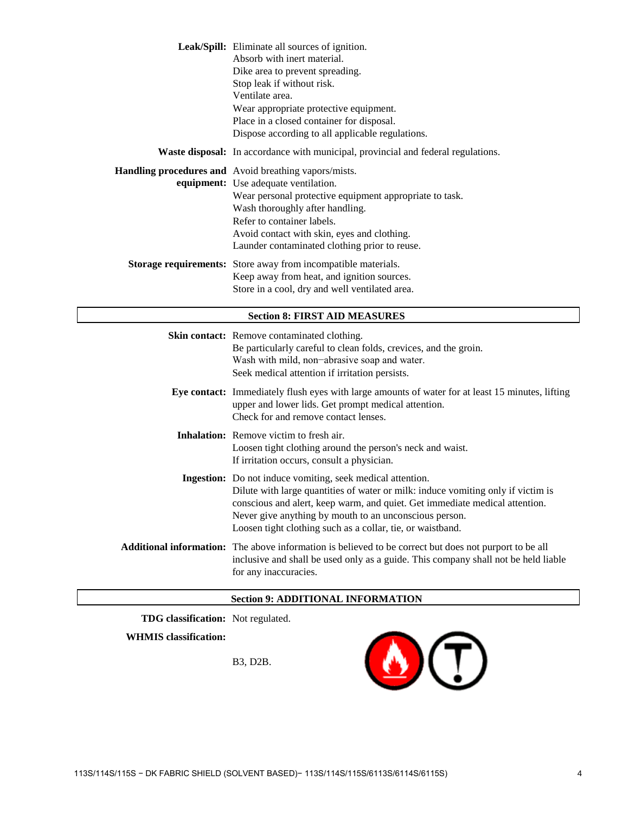|                                      | Leak/Spill: Eliminate all sources of ignition.<br>Absorb with inert material.<br>Dike area to prevent spreading.<br>Stop leak if without risk.<br>Ventilate area.<br>Wear appropriate protective equipment.<br>Place in a closed container for disposal.<br>Dispose according to all applicable regulations.              |  |
|--------------------------------------|---------------------------------------------------------------------------------------------------------------------------------------------------------------------------------------------------------------------------------------------------------------------------------------------------------------------------|--|
|                                      | <b>Waste disposal:</b> In accordance with municipal, provincial and federal regulations.                                                                                                                                                                                                                                  |  |
|                                      | Handling procedures and Avoid breathing vapors/mists.<br>equipment: Use adequate ventilation.<br>Wear personal protective equipment appropriate to task.<br>Wash thoroughly after handling.<br>Refer to container labels.<br>Avoid contact with skin, eyes and clothing.<br>Launder contaminated clothing prior to reuse. |  |
|                                      | Storage requirements: Store away from incompatible materials.<br>Keep away from heat, and ignition sources.<br>Store in a cool, dry and well ventilated area.                                                                                                                                                             |  |
| <b>Section 8: FIRST AID MEASURES</b> |                                                                                                                                                                                                                                                                                                                           |  |
|                                      | Skin contact: Remove contaminated clothing.<br>Be particularly careful to clean folds, crevices, and the groin.<br>Wash with mild, non-abrasive soap and water.<br>Seek medical attention if irritation persists.                                                                                                         |  |
|                                      | Eye contact: Immediately flush eyes with large amounts of water for at least 15 minutes, lifting<br>upper and lower lids. Get prompt medical attention.<br>Check for and remove contact lenses.                                                                                                                           |  |
|                                      | Inhalation: Remove victim to fresh air.<br>Loosen tight clothing around the person's neck and waist.<br>If irritation occurs, consult a physician.                                                                                                                                                                        |  |
|                                      | Ingestion: Do not induce vomiting, seek medical attention.<br>Dilute with large quantities of water or milk: induce vomiting only if victim is<br>conscious and alert, keep warm, and quiet. Get immediate medical attention.                                                                                             |  |

**Additional information:** The above information is believed to be correct but does not purport to be all inclusive and shall be used only as a guide. This company shall not be held liable for any inaccuracies.

Never give anything by mouth to an unconscious person. Loosen tight clothing such as a collar, tie, or waistband.

#### **Section 9: ADDITIONAL INFORMATION**

**TDG classification:** Not regulated.

**WHMIS classification:**

B3, D2B.